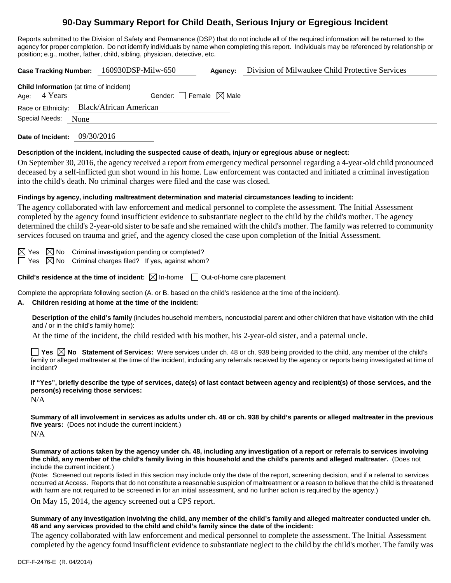# **90-Day Summary Report for Child Death, Serious Injury or Egregious Incident**

Reports submitted to the Division of Safety and Permanence (DSP) that do not include all of the required information will be returned to the agency for proper completion. Do not identify individuals by name when completing this report. Individuals may be referenced by relationship or position; e.g., mother, father, child, sibling, physician, detective, etc.

**Case Tracking Number:** 160930DSP-Milw-650 **Agency:** Division of Milwaukee Child Protective Services **Child Information** (at time of incident) Age:  $4$  Years Gender: Female  $\boxtimes$  Male Race or Ethnicity: Black/African American Special Needs: None **Date of Incident:** 09/30/2016

## **Description of the incident, including the suspected cause of death, injury or egregious abuse or neglect:**

On September 30, 2016, the agency received a report from emergency medical personnel regarding a 4-year-old child pronounced deceased by a self-inflicted gun shot wound in his home. Law enforcement was contacted and initiated a criminal investigation into the child's death. No criminal charges were filed and the case was closed.

# **Findings by agency, including maltreatment determination and material circumstances leading to incident:**

The agency collaborated with law enforcement and medical personnel to complete the assessment. The Initial Assessment completed by the agency found insufficient evidence to substantiate neglect to the child by the child's mother. The agency determined the child's 2-year-old sister to be safe and she remained with the child's mother. The family was referred to community services focused on trauma and grief, and the agency closed the case upon completion of the Initial Assessment.

 $\boxtimes$  Yes  $\boxtimes$  No Criminal investigation pending or completed?

 $\Box$  Yes  $\boxtimes$  No Criminal charges filed? If yes, against whom?

**Child's residence at the time of incident:**  $\boxtimes$  In-home  $\Box$  Out-of-home care placement

Complete the appropriate following section (A. or B. based on the child's residence at the time of the incident).

## **A. Children residing at home at the time of the incident:**

**Description of the child's family** (includes household members, noncustodial parent and other children that have visitation with the child and / or in the child's family home):

At the time of the incident, the child resided with his mother, his 2-year-old sister, and a paternal uncle.

**T** Yes  $\boxtimes$  No Statement of Services: Were services under ch. 48 or ch. 938 being provided to the child, any member of the child's family or alleged maltreater at the time of the incident, including any referrals received by the agency or reports being investigated at time of incident?

**If "Yes", briefly describe the type of services, date(s) of last contact between agency and recipient(s) of those services, and the person(s) receiving those services:**

N/A

**Summary of all involvement in services as adults under ch. 48 or ch. 938 by child's parents or alleged maltreater in the previous five years:** (Does not include the current incident.) N/A

**Summary of actions taken by the agency under ch. 48, including any investigation of a report or referrals to services involving the child, any member of the child's family living in this household and the child's parents and alleged maltreater.** (Does not include the current incident.)

(Note: Screened out reports listed in this section may include only the date of the report, screening decision, and if a referral to services occurred at Access. Reports that do not constitute a reasonable suspicion of maltreatment or a reason to believe that the child is threatened with harm are not required to be screened in for an initial assessment, and no further action is required by the agency.)

On May 15, 2014, the agency screened out a CPS report.

#### **Summary of any investigation involving the child, any member of the child's family and alleged maltreater conducted under ch. 48 and any services provided to the child and child's family since the date of the incident:**

The agency collaborated with law enforcement and medical personnel to complete the assessment. The Initial Assessment completed by the agency found insufficient evidence to substantiate neglect to the child by the child's mother. The family was